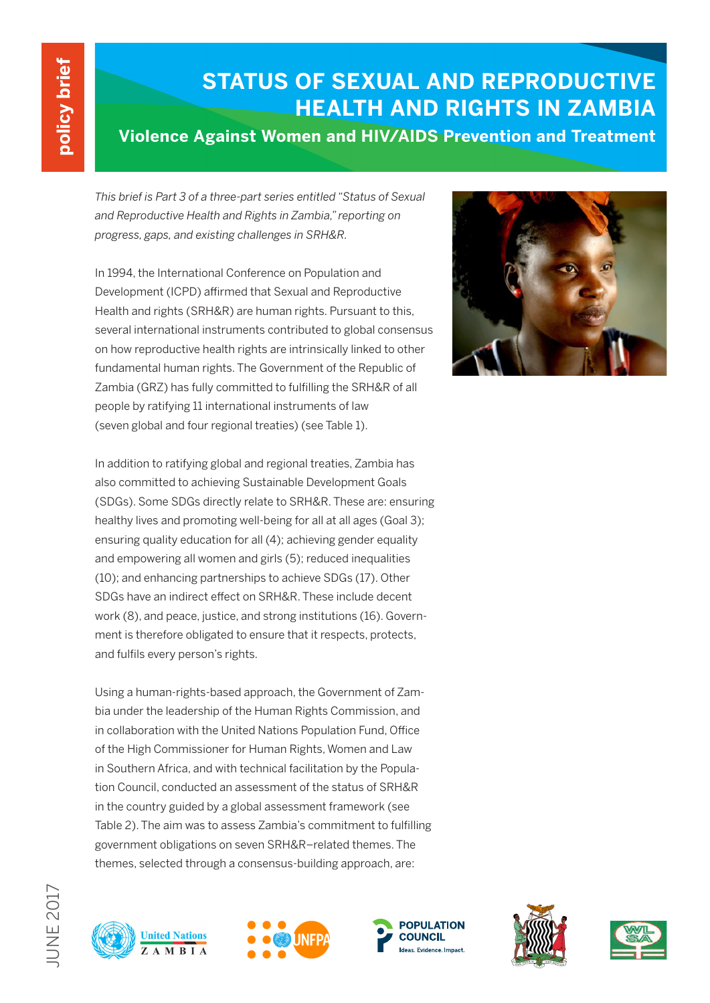# **STATUS OF SEXUAL AND REPRODUCTIVE HEALTH AND RIGHTS IN ZAMBIA**

# **Violence Against Women and HIV/AIDS Prevention and Treatment**

*This brief is Part 3 of a three-part series entitled "Status of Sexual and Reproductive Health and Rights in Zambia," reporting on progress, gaps, and existing challenges in SRH&R.*

In 1994, the International Conference on Population and Development (ICPD) affirmed that Sexual and Reproductive Health and rights (SRH&R) are human rights. Pursuant to this, several international instruments contributed to global consensus on how reproductive health rights are intrinsically linked to other fundamental human rights. The Government of the Republic of Zambia (GRZ) has fully committed to fulfilling the SRH&R of all people by ratifying 11 international instruments of law (seven global and four regional treaties) (see Table 1).



In addition to ratifying global and regional treaties, Zambia has also committed to achieving Sustainable Development Goals (SDGs). Some SDGs directly relate to SRH&R. These are: ensuring healthy lives and promoting well-being for all at all ages (Goal 3); ensuring quality education for all (4); achieving gender equality and empowering all women and girls (5); reduced inequalities (10); and enhancing partnerships to achieve SDGs (17). Other SDGs have an indirect effect on SRH&R. These include decent work (8), and peace, justice, and strong institutions (16). Government is therefore obligated to ensure that it respects, protects, and fulfils every person's rights.

Using a human-rights-based approach, the Government of Zambia under the leadership of the Human Rights Commission, and in collaboration with the United Nations Population Fund, Office of the High Commissioner for Human Rights, Women and Law in Southern Africa, and with technical facilitation by the Population Council, conducted an assessment of the status of SRH&R in the country guided by a global assessment framework (see Table 2). The aim was to assess Zambia's commitment to fulfilling government obligations on seven SRH&R–related themes. The themes, selected through a consensus-building approach, are:

**United Nations** 

**AMBIA** 







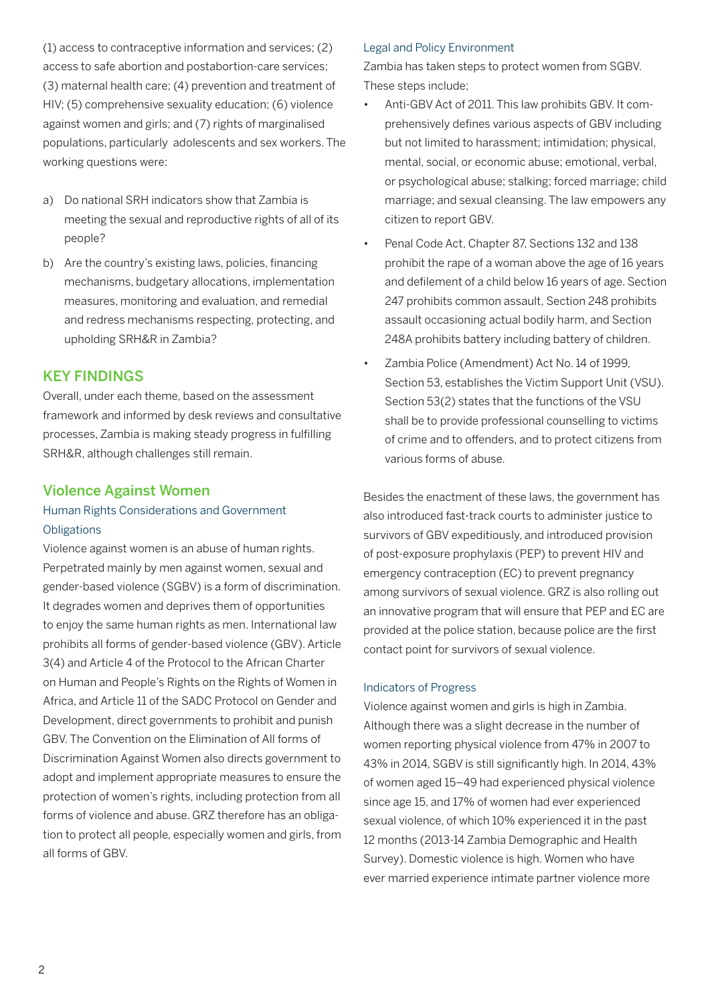(1) access to contraceptive information and services; (2) access to safe abortion and postabortion-care services; (3) maternal health care; (4) prevention and treatment of HIV; (5) comprehensive sexuality education; (6) violence against women and girls; and (7) rights of marginalised populations, particularly adolescents and sex workers. The working questions were:

- a) Do national SRH indicators show that Zambia is meeting the sexual and reproductive rights of all of its people?
- b) Are the country's existing laws, policies, financing mechanisms, budgetary allocations, implementation measures, monitoring and evaluation, and remedial and redress mechanisms respecting, protecting, and upholding SRH&R in Zambia?

### KEY FINDINGS

Overall, under each theme, based on the assessment framework and informed by desk reviews and consultative processes, Zambia is making steady progress in fulfilling SRH&R, although challenges still remain.

# Violence Against Women

# Human Rights Considerations and Government **Obligations**

Violence against women is an abuse of human rights. Perpetrated mainly by men against women, sexual and gender-based violence (SGBV) is a form of discrimination. It degrades women and deprives them of opportunities to enjoy the same human rights as men. International law prohibits all forms of gender-based violence (GBV). Article 3(4) and Article 4 of the Protocol to the African Charter on Human and People's Rights on the Rights of Women in Africa, and Article 11 of the SADC Protocol on Gender and Development, direct governments to prohibit and punish GBV. The Convention on the Elimination of All forms of Discrimination Against Women also directs government to adopt and implement appropriate measures to ensure the protection of women's rights, including protection from all forms of violence and abuse. GRZ therefore has an obligation to protect all people, especially women and girls, from all forms of GBV.

#### Legal and Policy Environment

Zambia has taken steps to protect women from SGBV. These steps include;

- Anti-GBV Act of 2011. This law prohibits GBV. It comprehensively defines various aspects of GBV including but not limited to harassment; intimidation; physical, mental, social, or economic abuse; emotional, verbal, or psychological abuse; stalking; forced marriage; child marriage; and sexual cleansing. The law empowers any citizen to report GBV.
- Penal Code Act, Chapter 87, Sections 132 and 138 prohibit the rape of a woman above the age of 16 years and defilement of a child below 16 years of age. Section 247 prohibits common assault, Section 248 prohibits assault occasioning actual bodily harm, and Section 248A prohibits battery including battery of children.
- • Zambia Police (Amendment) Act No. 14 of 1999, Section 53, establishes the Victim Support Unit (VSU). Section 53(2) states that the functions of the VSU shall be to provide professional counselling to victims of crime and to offenders, and to protect citizens from various forms of abuse.

Besides the enactment of these laws, the government has also introduced fast-track courts to administer justice to survivors of GBV expeditiously, and introduced provision of post-exposure prophylaxis (PEP) to prevent HIV and emergency contraception (EC) to prevent pregnancy among survivors of sexual violence. GRZ is also rolling out an innovative program that will ensure that PEP and EC are provided at the police station, because police are the first contact point for survivors of sexual violence.

#### Indicators of Progress

Violence against women and girls is high in Zambia. Although there was a slight decrease in the number of women reporting physical violence from 47% in 2007 to 43% in 2014, SGBV is still significantly high. In 2014, 43% of women aged 15–49 had experienced physical violence since age 15, and 17% of women had ever experienced sexual violence, of which 10% experienced it in the past 12 months (2013-14 Zambia Demographic and Health Survey). Domestic violence is high. Women who have ever married experience intimate partner violence more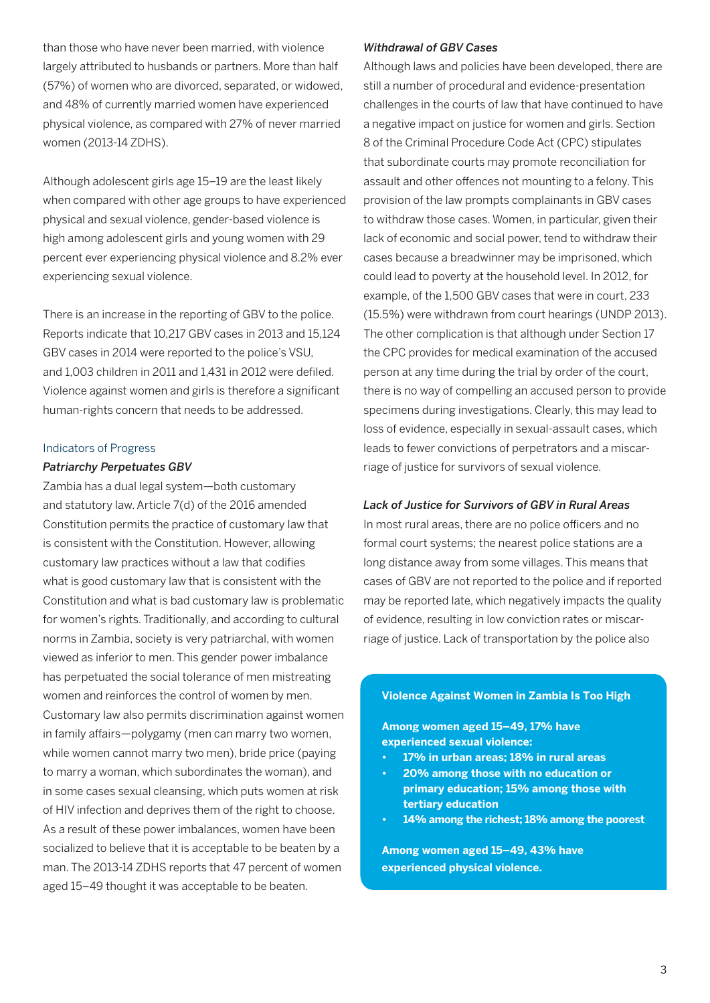than those who have never been married, with violence largely attributed to husbands or partners. More than half (57%) of women who are divorced, separated, or widowed, and 48% of currently married women have experienced physical violence, as compared with 27% of never married women (2013-14 ZDHS).

Although adolescent girls age 15–19 are the least likely when compared with other age groups to have experienced physical and sexual violence, gender-based violence is high among adolescent girls and young women with 29 percent ever experiencing physical violence and 8.2% ever experiencing sexual violence.

There is an increase in the reporting of GBV to the police. Reports indicate that 10,217 GBV cases in 2013 and 15,124 GBV cases in 2014 were reported to the police's VSU, and 1,003 children in 2011 and 1,431 in 2012 were defiled. Violence against women and girls is therefore a significant human-rights concern that needs to be addressed.

#### Indicators of Progress

#### *Patriarchy Perpetuates GBV*

Zambia has a dual legal system—both customary and statutory law. Article 7(d) of the 2016 amended Constitution permits the practice of customary law that is consistent with the Constitution. However, allowing customary law practices without a law that codifies what is good customary law that is consistent with the Constitution and what is bad customary law is problematic for women's rights. Traditionally, and according to cultural norms in Zambia, society is very patriarchal, with women viewed as inferior to men. This gender power imbalance has perpetuated the social tolerance of men mistreating women and reinforces the control of women by men. Customary law also permits discrimination against women in family affairs—polygamy (men can marry two women, while women cannot marry two men), bride price (paying to marry a woman, which subordinates the woman), and in some cases sexual cleansing, which puts women at risk of HIV infection and deprives them of the right to choose. As a result of these power imbalances, women have been socialized to believe that it is acceptable to be beaten by a man. The 2013-14 ZDHS reports that 47 percent of women aged 15–49 thought it was acceptable to be beaten.

#### *Withdrawal of GBV Cases*

Although laws and policies have been developed, there are still a number of procedural and evidence-presentation challenges in the courts of law that have continued to have a negative impact on justice for women and girls. Section 8 of the Criminal Procedure Code Act (CPC) stipulates that subordinate courts may promote reconciliation for assault and other offences not mounting to a felony. This provision of the law prompts complainants in GBV cases to withdraw those cases. Women, in particular, given their lack of economic and social power, tend to withdraw their cases because a breadwinner may be imprisoned, which could lead to poverty at the household level. In 2012, for example, of the 1,500 GBV cases that were in court, 233 (15.5%) were withdrawn from court hearings (UNDP 2013). The other complication is that although under Section 17 the CPC provides for medical examination of the accused person at any time during the trial by order of the court, there is no way of compelling an accused person to provide specimens during investigations. Clearly, this may lead to loss of evidence, especially in sexual-assault cases, which leads to fewer convictions of perpetrators and a miscarriage of justice for survivors of sexual violence.

#### *Lack of Justice for Survivors of GBV in Rural Areas*

In most rural areas, there are no police officers and no formal court systems; the nearest police stations are a long distance away from some villages. This means that cases of GBV are not reported to the police and if reported may be reported late, which negatively impacts the quality of evidence, resulting in low conviction rates or miscarriage of justice. Lack of transportation by the police also

#### **Violence Against Women in Zambia Is Too High**

**Among women aged 15–49, 17% have experienced sexual violence:**

- **• 17% in urban areas; 18% in rural areas**
- **• 20% among those with no education or primary education; 15% among those with tertiary education**
- **• 14% among the richest; 18% among the poorest**

**Among women aged 15–49, 43% have experienced physical violence.**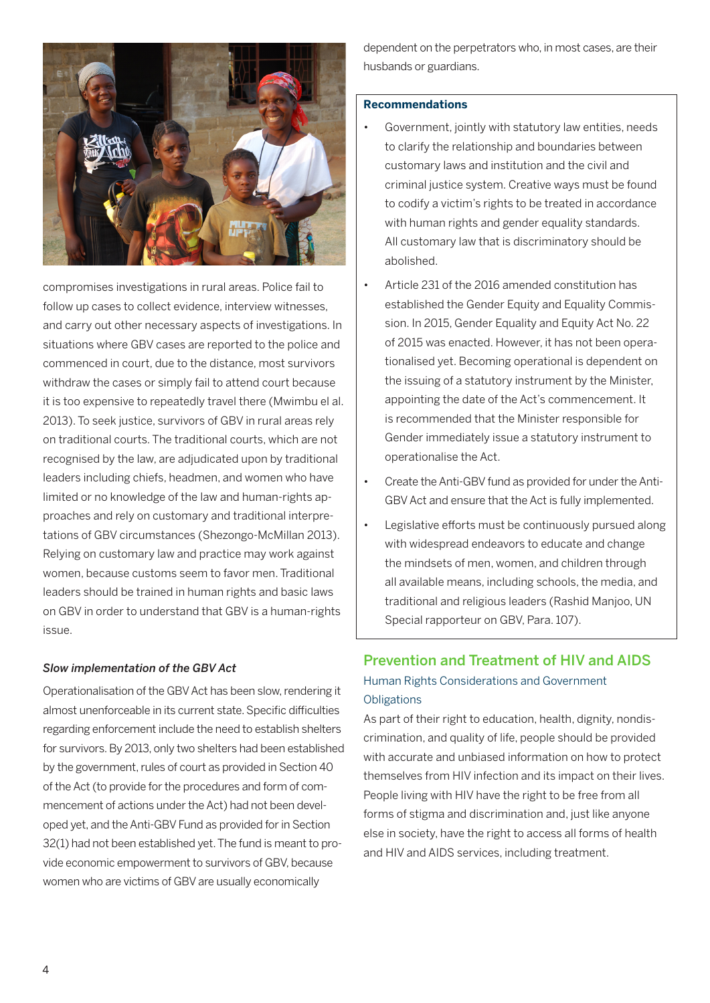

compromises investigations in rural areas. Police fail to follow up cases to collect evidence, interview witnesses, and carry out other necessary aspects of investigations. In situations where GBV cases are reported to the police and commenced in court, due to the distance, most survivors withdraw the cases or simply fail to attend court because it is too expensive to repeatedly travel there (Mwimbu el al. 2013). To seek justice, survivors of GBV in rural areas rely on traditional courts. The traditional courts, which are not recognised by the law, are adjudicated upon by traditional leaders including chiefs, headmen, and women who have limited or no knowledge of the law and human-rights approaches and rely on customary and traditional interpretations of GBV circumstances (Shezongo-McMillan 2013). Relying on customary law and practice may work against women, because customs seem to favor men. Traditional leaders should be trained in human rights and basic laws on GBV in order to understand that GBV is a human-rights issue.

#### *Slow implementation of the GBV Act*

Operationalisation of the GBV Act has been slow, rendering it almost unenforceable in its current state. Specific difficulties regarding enforcement include the need to establish shelters for survivors. By 2013, only two shelters had been established by the government, rules of court as provided in Section 40 of the Act (to provide for the procedures and form of commencement of actions under the Act) had not been developed yet, and the Anti-GBV Fund as provided for in Section 32(1) had not been established yet. The fund is meant to provide economic empowerment to survivors of GBV, because women who are victims of GBV are usually economically

dependent on the perpetrators who, in most cases, are their husbands or guardians.

#### **Recommendations**

- Government, jointly with statutory law entities, needs to clarify the relationship and boundaries between customary laws and institution and the civil and criminal justice system. Creative ways must be found to codify a victim's rights to be treated in accordance with human rights and gender equality standards. All customary law that is discriminatory should be abolished.
- Article 231 of the 2016 amended constitution has established the Gender Equity and Equality Commission. In 2015, Gender Equality and Equity Act No. 22 of 2015 was enacted. However, it has not been operationalised yet. Becoming operational is dependent on the issuing of a statutory instrument by the Minister, appointing the date of the Act's commencement. It is recommended that the Minister responsible for Gender immediately issue a statutory instrument to operationalise the Act.
- Create the Anti-GBV fund as provided for under the Anti-GBV Act and ensure that the Act is fully implemented.
- Legislative efforts must be continuously pursued along with widespread endeavors to educate and change the mindsets of men, women, and children through all available means, including schools, the media, and traditional and religious leaders (Rashid Manjoo, UN Special rapporteur on GBV, Para. 107).

# Prevention and Treatment of HIV and AIDS Human Rights Considerations and Government **Obligations**

As part of their right to education, health, dignity, nondiscrimination, and quality of life, people should be provided with accurate and unbiased information on how to protect themselves from HIV infection and its impact on their lives. People living with HIV have the right to be free from all forms of stigma and discrimination and, just like anyone else in society, have the right to access all forms of health and HIV and AIDS services, including treatment.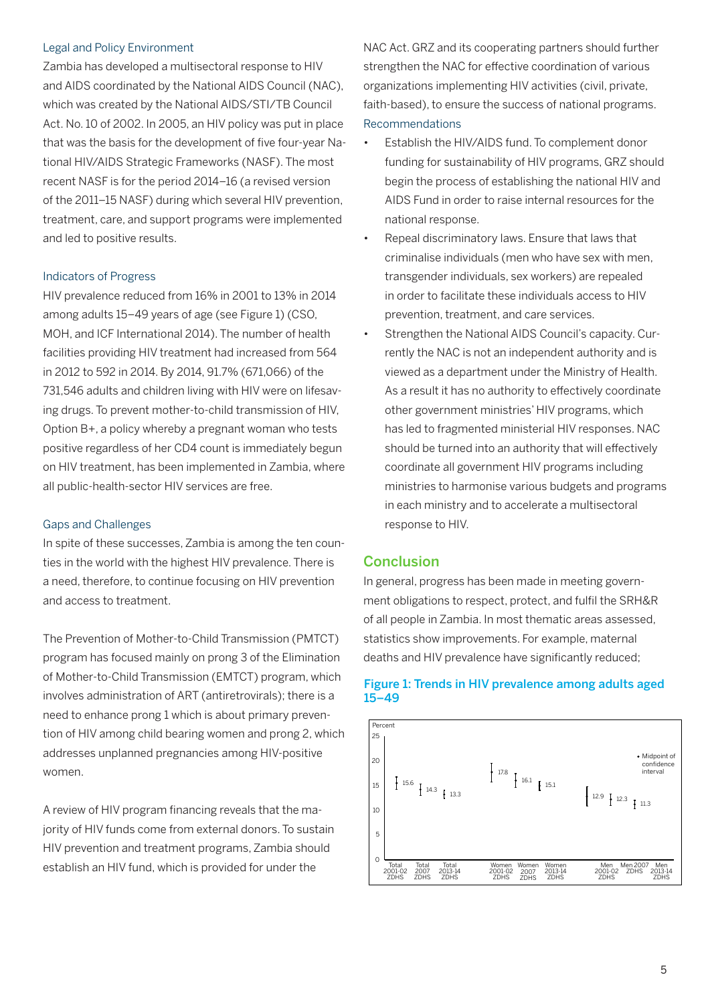#### Legal and Policy Environment

Zambia has developed a multisectoral response to HIV and AIDS coordinated by the National AIDS Council (NAC), which was created by the National AIDS/STI/TB Council Act. No. 10 of 2002. In 2005, an HIV policy was put in place that was the basis for the development of five four-year National HIV/AIDS Strategic Frameworks (NASF). The most recent NASF is for the period 2014–16 (a revised version of the 2011–15 NASF) during which several HIV prevention, treatment, care, and support programs were implemented and led to positive results.

#### Indicators of Progress

HIV prevalence reduced from 16% in 2001 to 13% in 2014 among adults 15–49 years of age (see Figure 1) (CSO, MOH, and ICF International 2014). The number of health facilities providing HIV treatment had increased from 564 in 2012 to 592 in 2014. By 2014, 91.7% (671,066) of the 731,546 adults and children living with HIV were on lifesaving drugs. To prevent mother-to-child transmission of HIV, Option B+, a policy whereby a pregnant woman who tests positive regardless of her CD4 count is immediately begun on HIV treatment, has been implemented in Zambia, where all public-health-sector HIV services are free.

#### Gaps and Challenges

In spite of these successes, Zambia is among the ten counties in the world with the highest HIV prevalence. There is a need, therefore, to continue focusing on HIV prevention and access to treatment.

The Prevention of Mother-to-Child Transmission (PMTCT) program has focused mainly on prong 3 of the Elimination of Mother-to-Child Transmission (EMTCT) program, which involves administration of ART (antiretrovirals); there is a need to enhance prong 1 which is about primary prevention of HIV among child bearing women and prong 2, which addresses unplanned pregnancies among HIV-positive women.

A review of HIV program financing reveals that the majority of HIV funds come from external donors. To sustain HIV prevention and treatment programs, Zambia should establish an HIV fund, which is provided for under the

NAC Act. GRZ and its cooperating partners should further strengthen the NAC for effective coordination of various organizations implementing HIV activities (civil, private, faith-based), to ensure the success of national programs. Recommendations

- • Establish the HIV/AIDS fund. To complement donor funding for sustainability of HIV programs, GRZ should begin the process of establishing the national HIV and AIDS Fund in order to raise internal resources for the national response.
- Repeal discriminatory laws. Ensure that laws that criminalise individuals (men who have sex with men, transgender individuals, sex workers) are repealed in order to facilitate these individuals access to HIV prevention, treatment, and care services.
- • Strengthen the National AIDS Council's capacity. Currently the NAC is not an independent authority and is viewed as a department under the Ministry of Health. As a result it has no authority to effectively coordinate other government ministries' HIV programs, which has led to fragmented ministerial HIV responses. NAC should be turned into an authority that will effectively coordinate all government HIV programs including ministries to harmonise various budgets and programs in each ministry and to accelerate a multisectoral response to HIV.

#### **Conclusion**

In general, progress has been made in meeting government obligations to respect, protect, and fulfil the SRH&R of all people in Zambia. In most thematic areas assessed, statistics show improvements. For example, maternal deaths and HIV prevalence have significantly reduced;



#### Figure 1: Trends in HIV prevalence among adults aged 15–49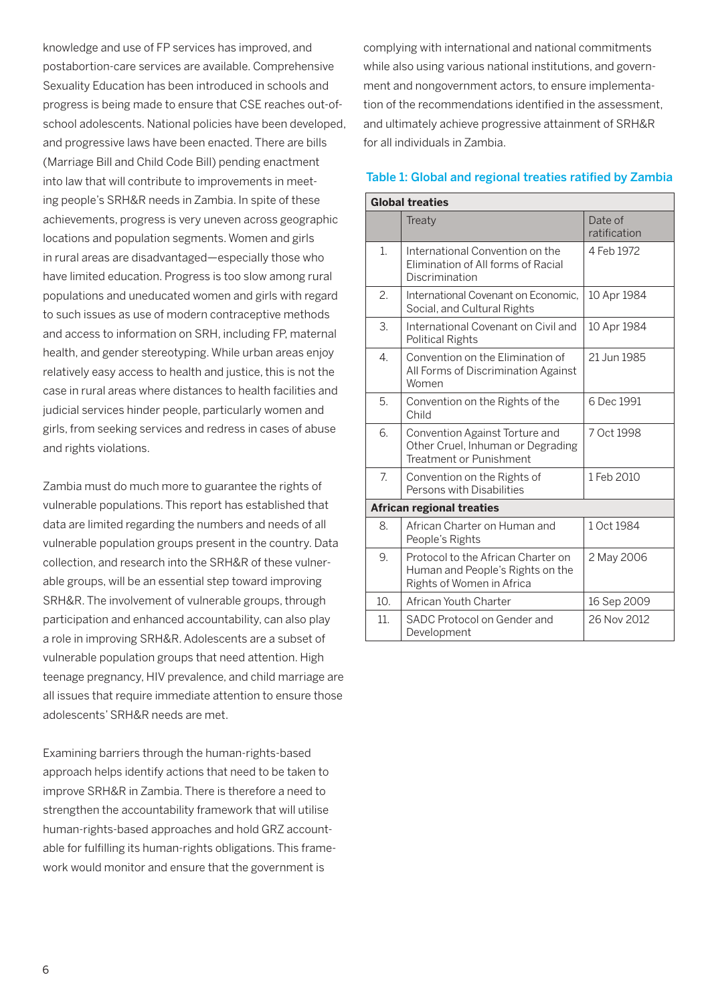knowledge and use of FP services has improved, and postabortion-care services are available. Comprehensive Sexuality Education has been introduced in schools and progress is being made to ensure that CSE reaches out-ofschool adolescents. National policies have been developed, and progressive laws have been enacted. There are bills (Marriage Bill and Child Code Bill) pending enactment into law that will contribute to improvements in meeting people's SRH&R needs in Zambia. In spite of these achievements, progress is very uneven across geographic locations and population segments. Women and girls in rural areas are disadvantaged—especially those who have limited education. Progress is too slow among rural populations and uneducated women and girls with regard to such issues as use of modern contraceptive methods and access to information on SRH, including FP, maternal health, and gender stereotyping. While urban areas enjoy relatively easy access to health and justice, this is not the case in rural areas where distances to health facilities and judicial services hinder people, particularly women and girls, from seeking services and redress in cases of abuse and rights violations.

Zambia must do much more to guarantee the rights of vulnerable populations. This report has established that data are limited regarding the numbers and needs of all vulnerable population groups present in the country. Data collection, and research into the SRH&R of these vulnerable groups, will be an essential step toward improving SRH&R. The involvement of vulnerable groups, through participation and enhanced accountability, can also play a role in improving SRH&R. Adolescents are a subset of vulnerable population groups that need attention. High teenage pregnancy, HIV prevalence, and child marriage are all issues that require immediate attention to ensure those adolescents' SRH&R needs are met.

Examining barriers through the human-rights-based approach helps identify actions that need to be taken to improve SRH&R in Zambia. There is therefore a need to strengthen the accountability framework that will utilise human-rights-based approaches and hold GRZ accountable for fulfilling its human-rights obligations. This framework would monitor and ensure that the government is

complying with international and national commitments while also using various national institutions, and government and nongovernment actors, to ensure implementation of the recommendations identified in the assessment, and ultimately achieve progressive attainment of SRH&R for all individuals in Zambia.

#### Table 1: Global and regional treaties ratified by Zambia

| <b>Global treaties</b> |                                                                                                     |                         |  |  |  |
|------------------------|-----------------------------------------------------------------------------------------------------|-------------------------|--|--|--|
|                        | Treaty                                                                                              | Date of<br>ratification |  |  |  |
| 1.                     | International Convention on the<br>Elimination of All forms of Racial<br>Discrimination             | 4 Feb 1972              |  |  |  |
| 2.                     | International Covenant on Economic,<br>Social, and Cultural Rights                                  | 10 Apr 1984             |  |  |  |
| 3.                     | International Covenant on Civil and<br><b>Political Rights</b>                                      | 10 Apr 1984             |  |  |  |
| $\overline{4}$ .       | Convention on the Elimination of<br>All Forms of Discrimination Against<br>Women                    | 21 Jun 1985             |  |  |  |
| 5.                     | Convention on the Rights of the<br>Child                                                            | 6 Dec 1991              |  |  |  |
| 6.                     | Convention Against Torture and<br>Other Cruel, Inhuman or Degrading<br>Treatment or Punishment      | 7 Oct 1998              |  |  |  |
| 7.                     | Convention on the Rights of<br>Persons with Disabilities                                            | 1 Feb 2010              |  |  |  |
|                        | <b>African regional treaties</b>                                                                    |                         |  |  |  |
| 8.                     | African Charter on Human and<br>People's Rights                                                     | 1 Oct 1984              |  |  |  |
| 9.                     | Protocol to the African Charter on<br>Human and People's Rights on the<br>Rights of Women in Africa | 2 May 2006              |  |  |  |
| 10.                    | African Youth Charter                                                                               | 16 Sep 2009             |  |  |  |
| 11.                    | SADC Protocol on Gender and<br>Development                                                          | 26 Nov 2012             |  |  |  |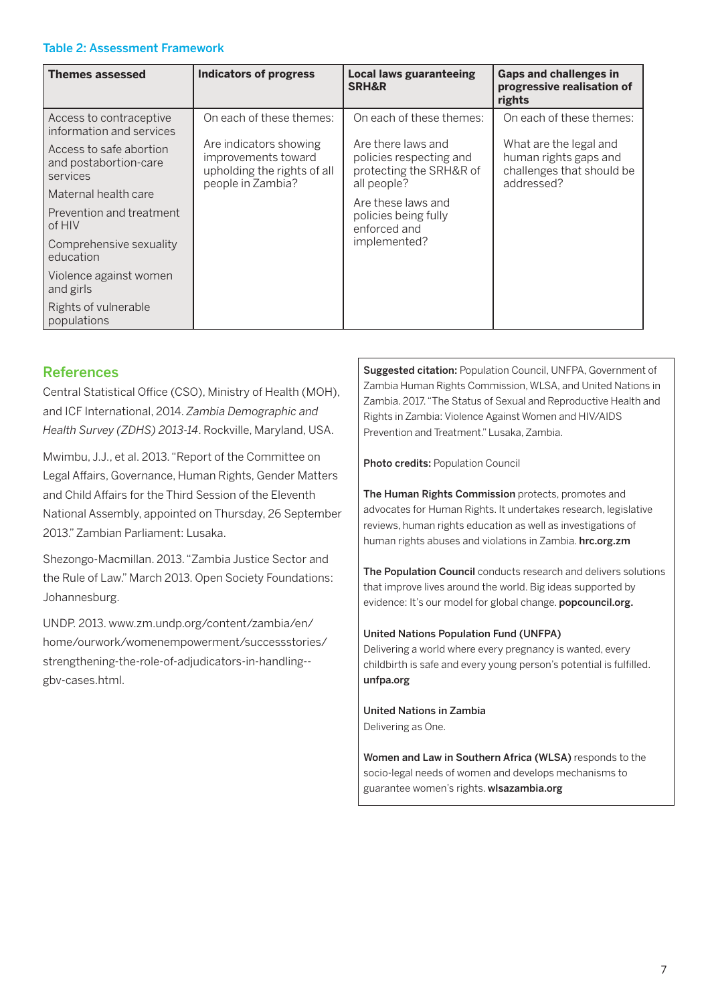#### Table 2: Assessment Framework

| <b>Themes assessed</b>                                       | <b>Indicators of progress</b>                                                                     | <b>Local laws guaranteeing</b><br><b>SRH&amp;R</b>                                      | <b>Gaps and challenges in</b><br>progressive realisation of<br>rights                      |
|--------------------------------------------------------------|---------------------------------------------------------------------------------------------------|-----------------------------------------------------------------------------------------|--------------------------------------------------------------------------------------------|
| Access to contraceptive<br>information and services          | On each of these themes:                                                                          | On each of these themes:                                                                | On each of these themes:                                                                   |
| Access to safe abortion<br>and postabortion-care<br>services | Are indicators showing<br>improvements toward<br>upholding the rights of all<br>people in Zambia? | Are there laws and<br>policies respecting and<br>protecting the SRH&R of<br>all people? | What are the legal and<br>human rights gaps and<br>challenges that should be<br>addressed? |
| Maternal health care                                         |                                                                                                   | Are these laws and<br>policies being fully<br>enforced and                              |                                                                                            |
| Prevention and treatment<br>of HIV                           |                                                                                                   |                                                                                         |                                                                                            |
| Comprehensive sexuality<br>education                         |                                                                                                   | implemented?                                                                            |                                                                                            |
| Violence against women<br>and girls                          |                                                                                                   |                                                                                         |                                                                                            |
| Rights of vulnerable<br>populations                          |                                                                                                   |                                                                                         |                                                                                            |

# References

Central Statistical Office (CSO), Ministry of Health (MOH), and ICF International, 2014. *Zambia Demographic and Health Survey (ZDHS) 2013-14*. Rockville, Maryland, USA.

Mwimbu, J.J., et al. 2013. "Report of the Committee on Legal Affairs, Governance, Human Rights, Gender Matters and Child Affairs for the Third Session of the Eleventh National Assembly, appointed on Thursday, 26 September 2013." Zambian Parliament: Lusaka.

Shezongo-Macmillan. 2013. "Zambia Justice Sector and the Rule of Law." March 2013. Open Society Foundations: Johannesburg.

UNDP. 2013. www.zm.undp.org/content/zambia/en/ home/ourwork/womenempowerment/successstories/ strengthening-the-role-of-adjudicators-in-handling- gbv-cases.html.

Suggested citation: Population Council, UNFPA, Government of Zambia Human Rights Commission, WLSA, and United Nations in Zambia. 2017. "The Status of Sexual and Reproductive Health and Rights in Zambia: Violence Against Women and HIV/AIDS Prevention and Treatment." Lusaka, Zambia.

Photo credits: Population Council

The Human Rights Commission protects, promotes and advocates for Human Rights. It undertakes research, legislative reviews, human rights education as well as investigations of human rights abuses and violations in Zambia. hrc.org.zm

The Population Council conducts research and delivers solutions that improve lives around the world. Big ideas supported by evidence: It's our model for global change. popcouncil.org.

#### United Nations Population Fund (UNFPA)

Delivering a world where every pregnancy is wanted, every childbirth is safe and every young person's potential is fulfilled. unfpa.org

United Nations in Zambia Delivering as One.

Women and Law in Southern Africa (WLSA) responds to the socio-legal needs of women and develops mechanisms to guarantee women's rights. wlsazambia.org